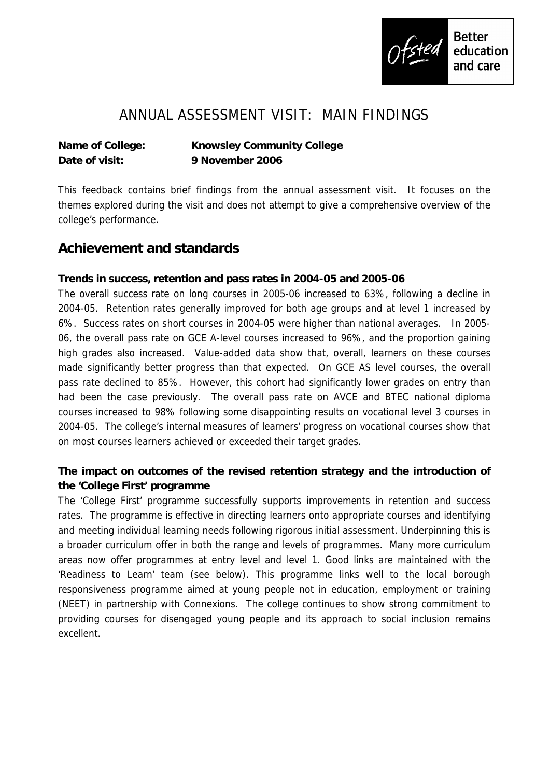

# ANNUAL ASSESSMENT VISIT: MAIN FINDINGS

**Name of College: Knowsley Community College Date of visit: 9 November 2006**

This feedback contains brief findings from the annual assessment visit. It focuses on the themes explored during the visit and does not attempt to give a comprehensive overview of the college's performance.

## **Achievement and standards**

**Trends in success, retention and pass rates in 2004-05 and 2005-06**

The overall success rate on long courses in 2005-06 increased to 63%, following a decline in 2004-05. Retention rates generally improved for both age groups and at level 1 increased by 6%. Success rates on short courses in 2004-05 were higher than national averages. In 2005- 06, the overall pass rate on GCE A-level courses increased to 96%, and the proportion gaining high grades also increased. Value-added data show that, overall, learners on these courses made significantly better progress than that expected. On GCE AS level courses, the overall pass rate declined to 85%. However, this cohort had significantly lower grades on entry than had been the case previously. The overall pass rate on AVCE and BTEC national diploma courses increased to 98% following some disappointing results on vocational level 3 courses in 2004-05. The college's internal measures of learners' progress on vocational courses show that on most courses learners achieved or exceeded their target grades.

**The impact on outcomes of the revised retention strategy and the introduction of the 'College First' programme**

The 'College First' programme successfully supports improvements in retention and success rates. The programme is effective in directing learners onto appropriate courses and identifying and meeting individual learning needs following rigorous initial assessment. Underpinning this is a broader curriculum offer in both the range and levels of programmes. Many more curriculum areas now offer programmes at entry level and level 1. Good links are maintained with the 'Readiness to Learn' team (see below). This programme links well to the local borough responsiveness programme aimed at young people not in education, employment or training (NEET) in partnership with Connexions. The college continues to show strong commitment to providing courses for disengaged young people and its approach to social inclusion remains excellent.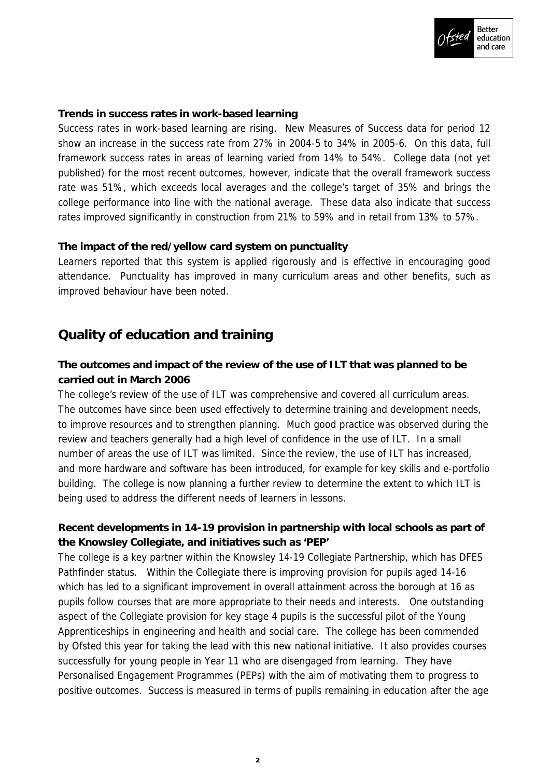

#### **Trends in success rates in work-based learning**

Success rates in work-based learning are rising. New Measures of Success data for period 12 show an increase in the success rate from 27% in 2004-5 to 34% in 2005-6. On this data, full framework success rates in areas of learning varied from 14% to 54%. College data (not yet published) for the most recent outcomes, however, indicate that the overall framework success rate was 51%, which exceeds local averages and the college's target of 35% and brings the college performance into line with the national average. These data also indicate that success rates improved significantly in construction from 21% to 59% and in retail from 13% to 57%.

### **The impact of the red/yellow card system on punctuality**

Learners reported that this system is applied rigorously and is effective in encouraging good attendance. Punctuality has improved in many curriculum areas and other benefits, such as improved behaviour have been noted.

## **Quality of education and training**

**The outcomes and impact of the review of the use of ILT that was planned to be carried out in March 2006**

The college's review of the use of ILT was comprehensive and covered all curriculum areas. The outcomes have since been used effectively to determine training and development needs, to improve resources and to strengthen planning. Much good practice was observed during the review and teachers generally had a high level of confidence in the use of ILT. In a small number of areas the use of ILT was limited. Since the review, the use of ILT has increased, and more hardware and software has been introduced, for example for key skills and e-portfolio building. The college is now planning a further review to determine the extent to which ILT is being used to address the different needs of learners in lessons.

**Recent developments in 14-19 provision in partnership with local schools as part of the Knowsley Collegiate, and initiatives such as 'PEP'**

The college is a key partner within the Knowsley 14-19 Collegiate Partnership, which has DFES Pathfinder status. Within the Collegiate there is improving provision for pupils aged 14-16 which has led to a significant improvement in overall attainment across the borough at 16 as pupils follow courses that are more appropriate to their needs and interests. One outstanding aspect of the Collegiate provision for key stage 4 pupils is the successful pilot of the Young Apprenticeships in engineering and health and social care. The college has been commended by Ofsted this year for taking the lead with this new national initiative. It also provides courses successfully for young people in Year 11 who are disengaged from learning. They have Personalised Engagement Programmes (PEPs) with the aim of motivating them to progress to positive outcomes. Success is measured in terms of pupils remaining in education after the age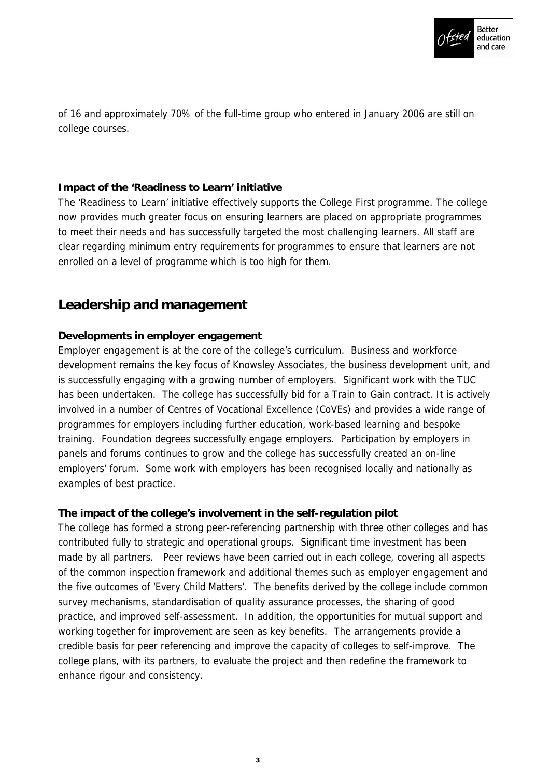

of 16 and approximately 70% of the full-time group who entered in January 2006 are still on college courses.

#### **Impact of the 'Readiness to Learn' initiative**

The 'Readiness to Learn' initiative effectively supports the College First programme. The college now provides much greater focus on ensuring learners are placed on appropriate programmes to meet their needs and has successfully targeted the most challenging learners. All staff are clear regarding minimum entry requirements for programmes to ensure that learners are not enrolled on a level of programme which is too high for them.

### **Leadership and management**

### **Developments in employer engagement**

Employer engagement is at the core of the college's curriculum. Business and workforce development remains the key focus of Knowsley Associates, the business development unit, and is successfully engaging with a growing number of employers. Significant work with the TUC has been undertaken. The college has successfully bid for a Train to Gain contract. It is actively involved in a number of Centres of Vocational Excellence (CoVEs) and provides a wide range of programmes for employers including further education, work-based learning and bespoke training. Foundation degrees successfully engage employers. Participation by employers in panels and forums continues to grow and the college has successfully created an on-line employers' forum. Some work with employers has been recognised locally and nationally as examples of best practice.

**The impact of the college's involvement in the self-regulation pilot** The college has formed a strong peer-referencing partnership with three other colleges and has contributed fully to strategic and operational groups. Significant time investment has been made by all partners. Peer reviews have been carried out in each college, covering all aspects of the common inspection framework and additional themes such as employer engagement and the five outcomes of 'Every Child Matters'. The benefits derived by the college include common survey mechanisms, standardisation of quality assurance processes, the sharing of good practice, and improved self-assessment. In addition, the opportunities for mutual support and working together for improvement are seen as key benefits. The arrangements provide a credible basis for peer referencing and improve the capacity of colleges to self-improve. The college plans, with its partners, to evaluate the project and then redefine the framework to enhance rigour and consistency.